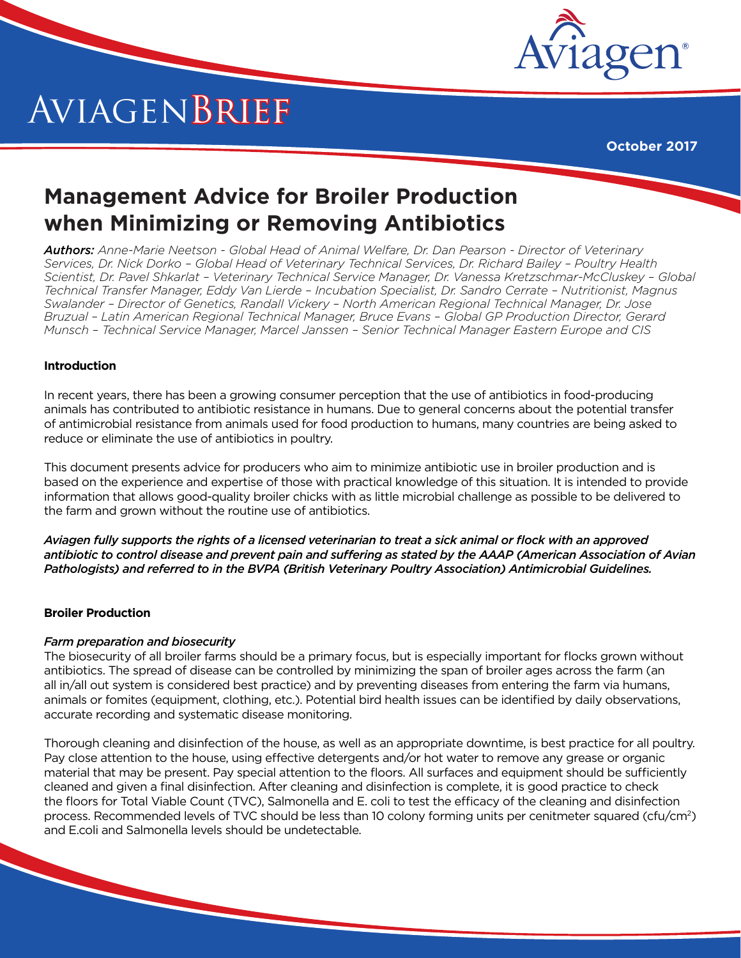

# AviagenBrief

**October 2017**

# **Management Advice for Broiler Production when Minimizing or Removing Antibiotics**

*Authors: Anne-Marie Neetson - Global Head of Animal Welfare, Dr. Dan Pearson - Director of Veterinary Services, Dr. Nick Dorko – Global Head of Veterinary Technical Services, Dr. Richard Bailey – Poultry Health Scientist, Dr. Pavel Shkarlat – Veterinary Technical Service Manager, Dr. Vanessa Kretzschmar-McCluskey – Global Technical Transfer Manager, Eddy Van Lierde – Incubation Specialist, Dr. Sandro Cerrate – Nutritionist, Magnus Swalander – Director of Genetics, Randall Vickery – North American Regional Technical Manager, Dr. Jose Bruzual – Latin American Regional Technical Manager, Bruce Evans – Global GP Production Director, Gerard Munsch – Technical Service Manager, Marcel Janssen – Senior Technical Manager Eastern Europe and CIS*

## **Introduction**

In recent years, there has been a growing consumer perception that the use of antibiotics in food-producing animals has contributed to antibiotic resistance in humans. Due to general concerns about the potential transfer of antimicrobial resistance from animals used for food production to humans, many countries are being asked to reduce or eliminate the use of antibiotics in poultry.

This document presents advice for producers who aim to minimize antibiotic use in broiler production and is based on the experience and expertise of those with practical knowledge of this situation. It is intended to provide information that allows good-quality broiler chicks with as little microbial challenge as possible to be delivered to the farm and grown without the routine use of antibiotics.

*Aviagen fully supports the rights of a licensed veterinarian to treat a sick animal or flock with an approved antibiotic to control disease and prevent pain and suffering as stated by the AAAP (American Association of Avian Pathologists) and referred to in the BVPA (British Veterinary Poultry Association) Antimicrobial Guidelines.*

## **Broiler Production**

#### *Farm preparation and biosecurity*

The biosecurity of all broiler farms should be a primary focus, but is especially important for flocks grown without antibiotics. The spread of disease can be controlled by minimizing the span of broiler ages across the farm (an all in/all out system is considered best practice) and by preventing diseases from entering the farm via humans, animals or fomites (equipment, clothing, etc.). Potential bird health issues can be identified by daily observations, accurate recording and systematic disease monitoring.

Thorough cleaning and disinfection of the house, as well as an appropriate downtime, is best practice for all poultry. Pay close attention to the house, using effective detergents and/or hot water to remove any grease or organic material that may be present. Pay special attention to the floors. All surfaces and equipment should be sufficiently cleaned and given a final disinfection. After cleaning and disinfection is complete, it is good practice to check the floors for Total Viable Count (TVC), Salmonella and E. coli to test the efficacy of the cleaning and disinfection process. Recommended levels of TVC should be less than 10 colony forming units per cenitmeter squared (cfu/cm<sup>2</sup>) and E.coli and Salmonella levels should be undetectable.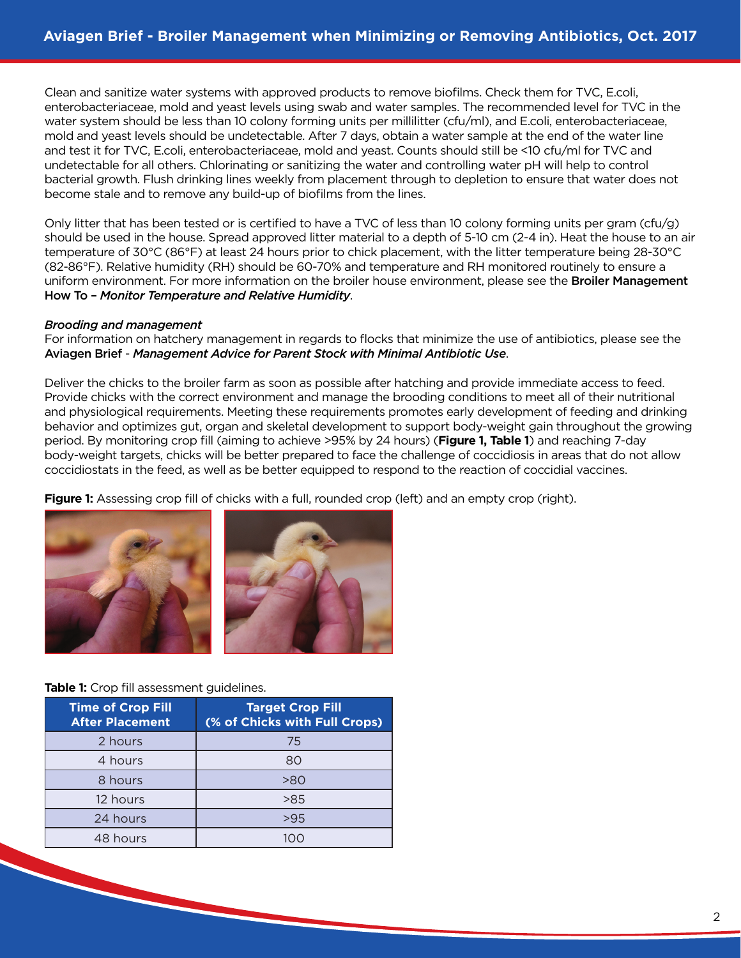Clean and sanitize water systems with approved products to remove biofilms. Check them for TVC, E.coli, enterobacteriaceae, mold and yeast levels using swab and water samples. The recommended level for TVC in the water system should be less than 10 colony forming units per millilitter (cfu/ml), and E.coli, enterobacteriaceae, mold and yeast levels should be undetectable. After 7 days, obtain a water sample at the end of the water line and test it for TVC, E.coli, enterobacteriaceae, mold and yeast. Counts should still be <10 cfu/ml for TVC and undetectable for all others. Chlorinating or sanitizing the water and controlling water pH will help to control bacterial growth. Flush drinking lines weekly from placement through to depletion to ensure that water does not become stale and to remove any build-up of biofilms from the lines.

Only litter that has been tested or is certified to have a TVC of less than 10 colony forming units per gram (cfu/g) should be used in the house. Spread approved litter material to a depth of 5-10 cm (2-4 in). Heat the house to an air temperature of 30°C (86°F) at least 24 hours prior to chick placement, with the litter temperature being 28-30°C (82-86°F). Relative humidity (RH) should be 60-70% and temperature and RH monitored routinely to ensure a uniform environment. For more information on the broiler house environment, please see the **Broiler Management** How To – *Monitor Temperature and Relative Humidity*.

#### *Brooding and management*

For information on hatchery management in regards to flocks that minimize the use of antibiotics, please see the Aviagen Brief - *Management Advice for Parent Stock with Minimal Antibiotic Use*.

Deliver the chicks to the broiler farm as soon as possible after hatching and provide immediate access to feed. Provide chicks with the correct environment and manage the brooding conditions to meet all of their nutritional and physiological requirements. Meeting these requirements promotes early development of feeding and drinking behavior and optimizes gut, organ and skeletal development to support body-weight gain throughout the growing period. By monitoring crop fill (aiming to achieve >95% by 24 hours) (**Figure 1, Table 1**) and reaching 7-day body-weight targets, chicks will be better prepared to face the challenge of coccidiosis in areas that do not allow coccidiostats in the feed, as well as be better equipped to respond to the reaction of coccidial vaccines.

**Figure 1:** Assessing crop fill of chicks with a full, rounded crop (left) and an empty crop (right).



#### **Table 1:** Crop fill assessment guidelines.

| <b>Time of Crop Fill</b><br><b>After Placement</b> | <b>Target Crop Fill</b><br>(% of Chicks with Full Crops) |
|----------------------------------------------------|----------------------------------------------------------|
| 2 hours                                            | 75                                                       |
| 4 hours                                            | 80                                                       |
| 8 hours                                            | >80                                                      |
| 12 hours                                           | >85                                                      |
| 24 hours                                           | >95                                                      |
| 48 hours                                           | 1∩∩                                                      |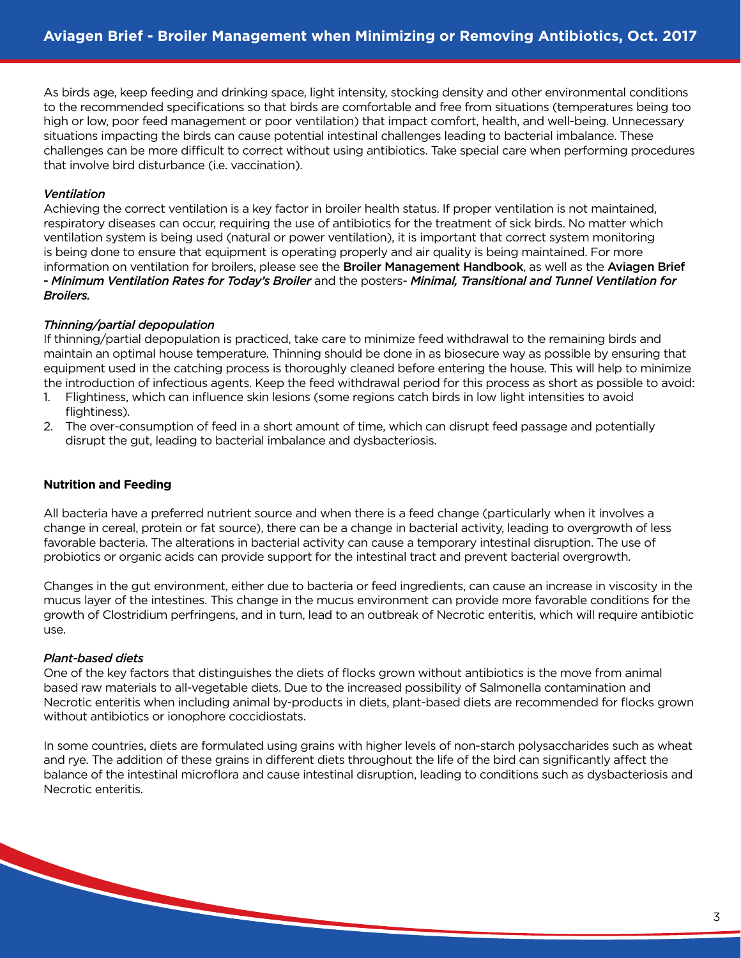As birds age, keep feeding and drinking space, light intensity, stocking density and other environmental conditions to the recommended specifications so that birds are comfortable and free from situations (temperatures being too high or low, poor feed management or poor ventilation) that impact comfort, health, and well-being. Unnecessary situations impacting the birds can cause potential intestinal challenges leading to bacterial imbalance. These challenges can be more difficult to correct without using antibiotics. Take special care when performing procedures that involve bird disturbance (i.e. vaccination).

#### *Ventilation*

Achieving the correct ventilation is a key factor in broiler health status. If proper ventilation is not maintained, respiratory diseases can occur, requiring the use of antibiotics for the treatment of sick birds. No matter which ventilation system is being used (natural or power ventilation), it is important that correct system monitoring is being done to ensure that equipment is operating properly and air quality is being maintained. For more information on ventilation for broilers, please see the Broiler Management Handbook, as well as the Aviagen Brief - *Minimum Ventilation Rates for Today's Broiler* and the posters- *Minimal, Transitional and Tunnel Ventilation for Broilers.*

#### *Thinning/partial depopulation*

If thinning/partial depopulation is practiced, take care to minimize feed withdrawal to the remaining birds and maintain an optimal house temperature. Thinning should be done in as biosecure way as possible by ensuring that equipment used in the catching process is thoroughly cleaned before entering the house. This will help to minimize the introduction of infectious agents. Keep the feed withdrawal period for this process as short as possible to avoid:

- 1. Flightiness, which can influence skin lesions (some regions catch birds in low light intensities to avoid flightiness).
- 2. The over-consumption of feed in a short amount of time, which can disrupt feed passage and potentially disrupt the gut, leading to bacterial imbalance and dysbacteriosis.

#### **Nutrition and Feeding**

All bacteria have a preferred nutrient source and when there is a feed change (particularly when it involves a change in cereal, protein or fat source), there can be a change in bacterial activity, leading to overgrowth of less favorable bacteria. The alterations in bacterial activity can cause a temporary intestinal disruption. The use of probiotics or organic acids can provide support for the intestinal tract and prevent bacterial overgrowth.

Changes in the gut environment, either due to bacteria or feed ingredients, can cause an increase in viscosity in the mucus layer of the intestines. This change in the mucus environment can provide more favorable conditions for the growth of Clostridium perfringens, and in turn, lead to an outbreak of Necrotic enteritis, which will require antibiotic use.

#### *Plant-based diets*

One of the key factors that distinguishes the diets of flocks grown without antibiotics is the move from animal based raw materials to all-vegetable diets. Due to the increased possibility of Salmonella contamination and Necrotic enteritis when including animal by-products in diets, plant-based diets are recommended for flocks grown without antibiotics or ionophore coccidiostats.

In some countries, diets are formulated using grains with higher levels of non-starch polysaccharides such as wheat and rye. The addition of these grains in different diets throughout the life of the bird can significantly affect the balance of the intestinal microflora and cause intestinal disruption, leading to conditions such as dysbacteriosis and Necrotic enteritis.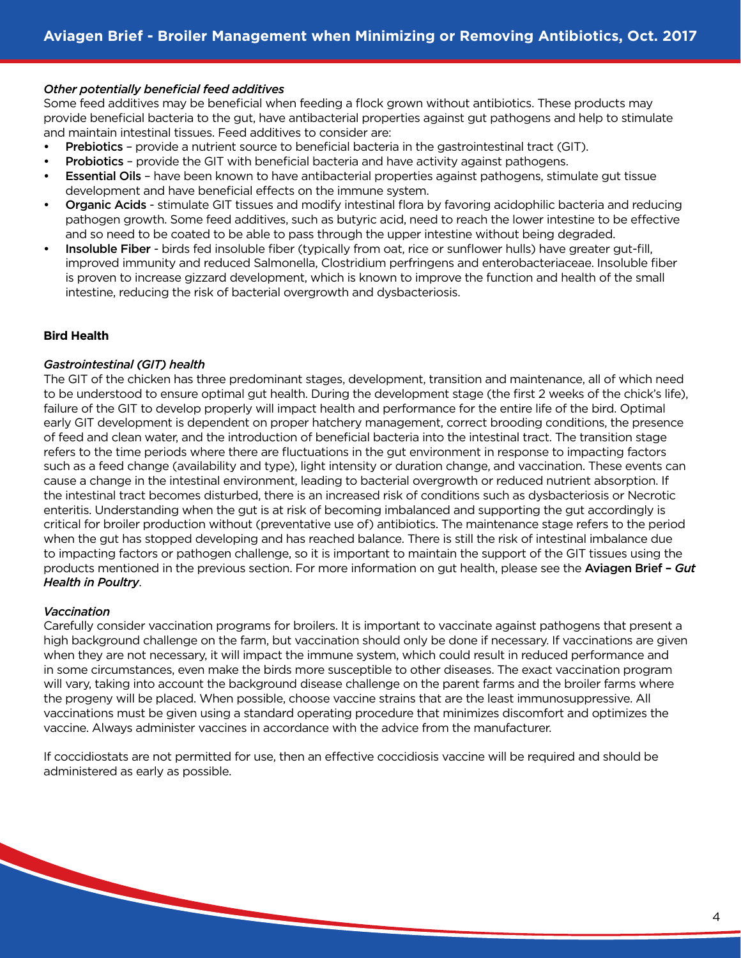#### *Other potentially beneficial feed additives*

Some feed additives may be beneficial when feeding a flock grown without antibiotics. These products may provide beneficial bacteria to the gut, have antibacterial properties against gut pathogens and help to stimulate and maintain intestinal tissues. Feed additives to consider are:

- Prebiotics provide a nutrient source to beneficial bacteria in the gastrointestinal tract (GIT).
- Probiotics provide the GIT with beneficial bacteria and have activity against pathogens.
- Essential Oils have been known to have antibacterial properties against pathogens, stimulate gut tissue development and have beneficial effects on the immune system.
- Organic Acids stimulate GIT tissues and modify intestinal flora by favoring acidophilic bacteria and reducing pathogen growth. Some feed additives, such as butyric acid, need to reach the lower intestine to be effective and so need to be coated to be able to pass through the upper intestine without being degraded.
- Insoluble Fiber birds fed insoluble fiber (typically from oat, rice or sunflower hulls) have greater gut-fill, improved immunity and reduced Salmonella, Clostridium perfringens and enterobacteriaceae. Insoluble fiber is proven to increase gizzard development, which is known to improve the function and health of the small intestine, reducing the risk of bacterial overgrowth and dysbacteriosis.

#### **Bird Health**

#### *Gastrointestinal (GIT) health*

The GIT of the chicken has three predominant stages, development, transition and maintenance, all of which need to be understood to ensure optimal gut health. During the development stage (the first 2 weeks of the chick's life), failure of the GIT to develop properly will impact health and performance for the entire life of the bird. Optimal early GIT development is dependent on proper hatchery management, correct brooding conditions, the presence of feed and clean water, and the introduction of beneficial bacteria into the intestinal tract. The transition stage refers to the time periods where there are fluctuations in the gut environment in response to impacting factors such as a feed change (availability and type), light intensity or duration change, and vaccination. These events can cause a change in the intestinal environment, leading to bacterial overgrowth or reduced nutrient absorption. If the intestinal tract becomes disturbed, there is an increased risk of conditions such as dysbacteriosis or Necrotic enteritis. Understanding when the gut is at risk of becoming imbalanced and supporting the gut accordingly is critical for broiler production without (preventative use of) antibiotics. The maintenance stage refers to the period when the gut has stopped developing and has reached balance. There is still the risk of intestinal imbalance due to impacting factors or pathogen challenge, so it is important to maintain the support of the GIT tissues using the products mentioned in the previous section. For more information on gut health, please see the Aviagen Brief – *Gut Health in Poultry*.

#### *Vaccination*

Carefully consider vaccination programs for broilers. It is important to vaccinate against pathogens that present a high background challenge on the farm, but vaccination should only be done if necessary. If vaccinations are given when they are not necessary, it will impact the immune system, which could result in reduced performance and in some circumstances, even make the birds more susceptible to other diseases. The exact vaccination program will vary, taking into account the background disease challenge on the parent farms and the broiler farms where the progeny will be placed. When possible, choose vaccine strains that are the least immunosuppressive. All vaccinations must be given using a standard operating procedure that minimizes discomfort and optimizes the vaccine. Always administer vaccines in accordance with the advice from the manufacturer.

If coccidiostats are not permitted for use, then an effective coccidiosis vaccine will be required and should be administered as early as possible.